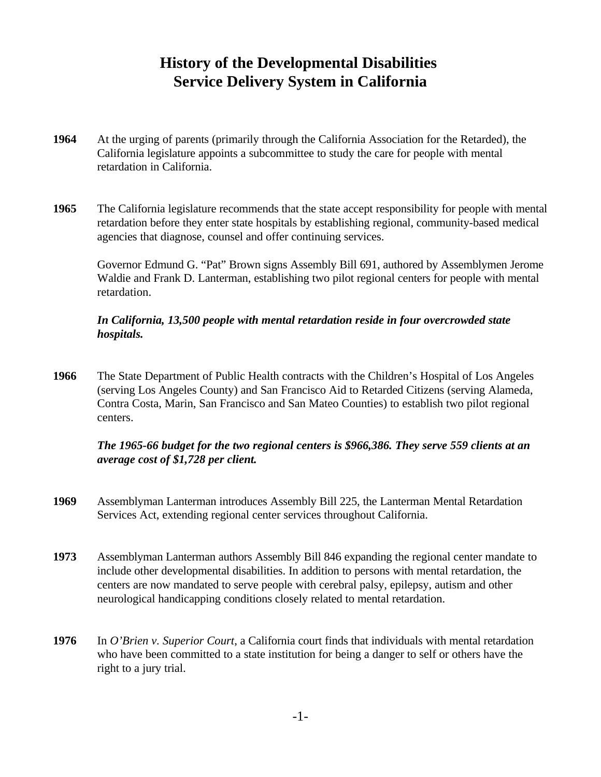# **History of the Developmental Disabilities Service Delivery System in California**

- **1964** At the urging of parents (primarily through the California Association for the Retarded), the California legislature appoints a subcommittee to study the care for people with mental retardation in California.
- **1965** The California legislature recommends that the state accept responsibility for people with mental retardation before they enter state hospitals by establishing regional, community-based medical agencies that diagnose, counsel and offer continuing services.

Governor Edmund G. "Pat" Brown signs Assembly Bill 691, authored by Assemblymen Jerome Waldie and Frank D. Lanterman, establishing two pilot regional centers for people with mental retardation.

#### *In California, 13,500 people with mental retardation reside in four overcrowded state hospitals.*

**1966** The State Department of Public Health contracts with the Children's Hospital of Los Angeles (serving Los Angeles County) and San Francisco Aid to Retarded Citizens (serving Alameda, Contra Costa, Marin, San Francisco and San Mateo Counties) to establish two pilot regional centers.

## *The 1965-66 budget for the two regional centers is \$966,386. They serve 559 clients at an average cost of \$1,728 per client.*

- **1969** Assemblyman Lanterman introduces Assembly Bill 225, the Lanterman Mental Retardation Services Act, extending regional center services throughout California.
- **1973** Assemblyman Lanterman authors Assembly Bill 846 expanding the regional center mandate to include other developmental disabilities. In addition to persons with mental retardation, the centers are now mandated to serve people with cerebral palsy, epilepsy, autism and other neurological handicapping conditions closely related to mental retardation.
- **1976** In *O'Brien v. Superior Court*, a California court finds that individuals with mental retardation who have been committed to a state institution for being a danger to self or others have the right to a jury trial.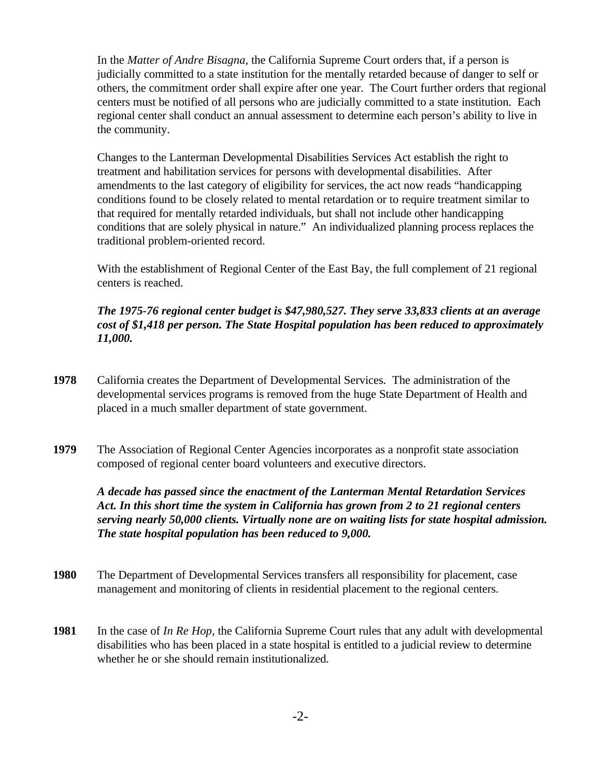In the *Matter of Andre Bisagna*, the California Supreme Court orders that, if a person is judicially committed to a state institution for the mentally retarded because of danger to self or others, the commitment order shall expire after one year. The Court further orders that regional centers must be notified of all persons who are judicially committed to a state institution. Each regional center shall conduct an annual assessment to determine each person's ability to live in the community.

Changes to the Lanterman Developmental Disabilities Services Act establish the right to treatment and habilitation services for persons with developmental disabilities.After amendments to the last category of eligibility for services, the act now reads "handicapping conditions found to be closely related to mental retardation or to require treatment similar to that required for mentally retarded individuals, but shall not include other handicapping conditions that are solely physical in nature." An individualized planning process replaces the traditional problem-oriented record.

With the establishment of Regional Center of the East Bay, the full complement of 21 regional centers is reached.

## *The 1975-76 regional center budget is \$47,980,527. They serve 33,833 clients at an average cost of \$1,418 per person. The State Hospital population has been reduced to approximately 11,000.*

- **1978** California creates the Department of Developmental Services. The administration of the developmental services programs is removed from the huge State Department of Health and placed in a much smaller department of state government.
- **1979** The Association of Regional Center Agencies incorporates as a nonprofit state association composed of regional center board volunteers and executive directors.

*A decade has passed since the enactment of the Lanterman Mental Retardation Services Act. In this short time the system in California has grown from 2 to 21 regional centers serving nearly 50,000 clients. Virtually none are on waiting lists for state hospital admission. The state hospital population has been reduced to 9,000.*

- **1980** The Department of Developmental Services transfers all responsibility for placement, case management and monitoring of clients in residential placement to the regional centers.
- **1981** In the case of *In Re Hop*, the California Supreme Court rules that any adult with developmental disabilities who has been placed in a state hospital is entitled to a judicial review to determine whether he or she should remain institutionalized.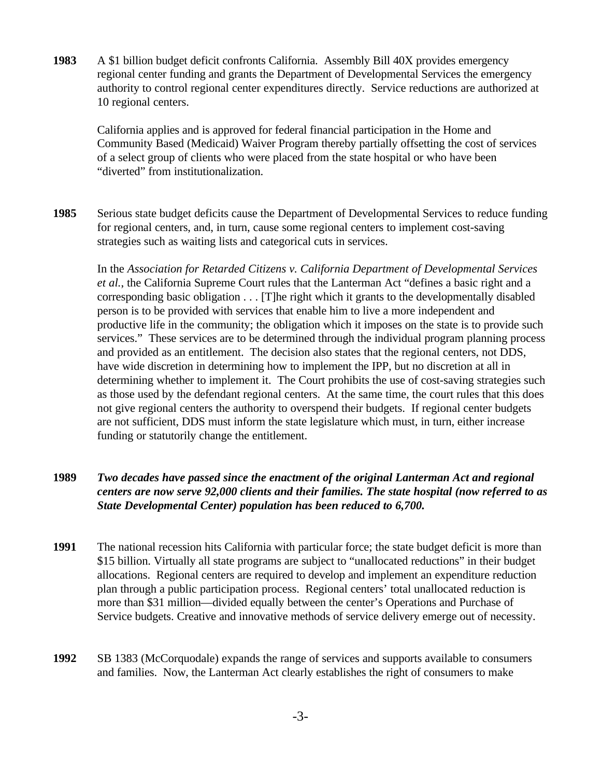**1983** A \$1 billion budget deficit confronts California. Assembly Bill 40X provides emergency regional center funding and grants the Department of Developmental Services the emergency authority to control regional center expenditures directly. Service reductions are authorized at 10 regional centers.

California applies and is approved for federal financial participation in the Home and Community Based (Medicaid) Waiver Program thereby partially offsetting the cost of services of a select group of clients who were placed from the state hospital or who have been "diverted" from institutionalization.

**1985** Serious state budget deficits cause the Department of Developmental Services to reduce funding for regional centers, and, in turn, cause some regional centers to implement cost-saving strategies such as waiting lists and categorical cuts in services.

In the *Association for Retarded Citizens v. California Department of Developmental Services et al.*, the California Supreme Court rules that the Lanterman Act "defines a basic right and a corresponding basic obligation . . . [T]he right which it grants to the developmentally disabled person is to be provided with services that enable him to live a more independent and productive life in the community; the obligation which it imposes on the state is to provide such services." These services are to be determined through the individual program planning process and provided as an entitlement. The decision also states that the regional centers, not DDS, have wide discretion in determining how to implement the IPP, but no discretion at all in determining whether to implement it. The Court prohibits the use of cost-saving strategies such as those used by the defendant regional centers. At the same time, the court rules that this does not give regional centers the authority to overspend their budgets. If regional center budgets are not sufficient, DDS must inform the state legislature which must, in turn, either increase funding or statutorily change the entitlement.

#### **1989** *Two decades have passed since the enactment of the original Lanterman Act and regional centers are now serve 92,000 clients and their families. The state hospital (now referred to as State Developmental Center) population has been reduced to 6,700.*

- **1991** The national recession hits California with particular force; the state budget deficit is more than \$15 billion. Virtually all state programs are subject to "unallocated reductions" in their budget allocations. Regional centers are required to develop and implement an expenditure reduction plan through a public participation process. Regional centers' total unallocated reduction is more than \$31 million—divided equally between the center's Operations and Purchase of Service budgets. Creative and innovative methods of service delivery emerge out of necessity.
- **1992** SB 1383 (McCorquodale) expands the range of services and supports available to consumers and families. Now, the Lanterman Act clearly establishes the right of consumers to make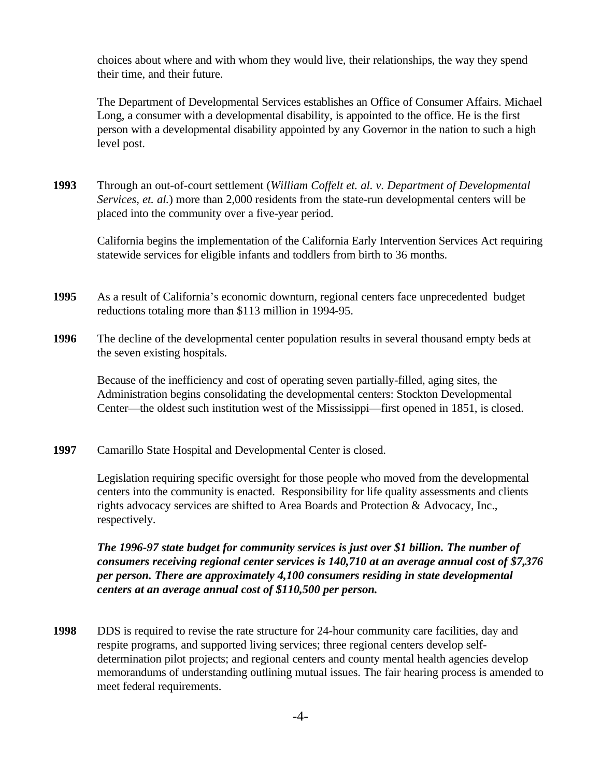choices about where and with whom they would live, their relationships, the way they spend their time, and their future.

The Department of Developmental Services establishes an Office of Consumer Affairs. Michael Long, a consumer with a developmental disability, is appointed to the office. He is the first person with a developmental disability appointed by any Governor in the nation to such a high level post.

**1993** Through an out-of-court settlement (*William Coffelt et. al. v. Department of Developmental Services, et. al.*) more than 2,000 residents from the state-run developmental centers will be placed into the community over a five-year period.

California begins the implementation of the California Early Intervention Services Act requiring statewide services for eligible infants and toddlers from birth to 36 months.

- **1995** As a result of California's economic downturn, regional centers face unprecedented budget reductions totaling more than \$113 million in 1994-95.
- **1996** The decline of the developmental center population results in several thousand empty beds at the seven existing hospitals.

Because of the inefficiency and cost of operating seven partially-filled, aging sites, the Administration begins consolidating the developmental centers: Stockton Developmental Center—the oldest such institution west of the Mississippi—first opened in 1851, is closed.

**1997** Camarillo State Hospital and Developmental Center is closed.

Legislation requiring specific oversight for those people who moved from the developmental centers into the community is enacted. Responsibility for life quality assessments and clients rights advocacy services are shifted to Area Boards and Protection & Advocacy, Inc., respectively.

*The 1996-97 state budget for community services is just over \$1 billion. The number of consumers receiving regional center services is 140,710 at an average annual cost of \$7,376 per person. There are approximately 4,100 consumers residing in state developmental centers at an average annual cost of \$110,500 per person.*

**1998** DDS is required to revise the rate structure for 24-hour community care facilities, day and respite programs, and supported living services; three regional centers develop selfdetermination pilot projects; and regional centers and county mental health agencies develop memorandums of understanding outlining mutual issues. The fair hearing process is amended to meet federal requirements.